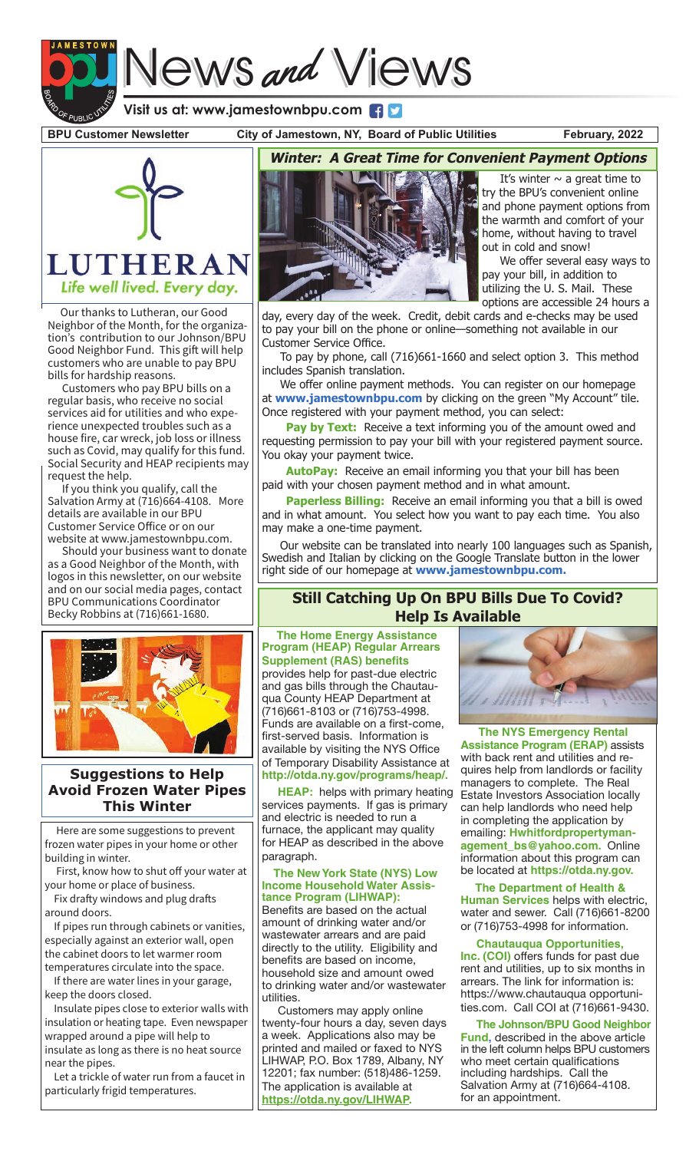# News and Views **Visit us at: www.jamestownbpu.com**

**BPU Customer Newsletter City of Jamestown, NY, Board of Public Utilities February, 2022**



 Our thanks to Lutheran, our Good Neighbor of the Month, for the organization's contribution to our Johnson/BPU Good Neighbor Fund. This gift will help customers who are unable to pay BPU bills for hardship reasons.

 Customers who pay BPU bills on a regular basis, who receive no social services aid for utilities and who experience unexpected troubles such as a house fire, car wreck, job loss or illness such as Covid, may qualify for this fund. Social Security and HEAP recipients may request the help.

 If you think you qualify, call the Salvation Army at (716)664-4108. More details are available in our BPU Customer Service Office or on our website at www.jamestownbpu.com.

 Should your business want to donate as a Good Neighbor of the Month, with logos in this newsletter, on our website and on our social media pages, contact BPU Communications Coordinator Becky Robbins at (716)661-1680.



# **Suggestions to Help Avoid Frozen Water Pipes This Winter**

 Here are some suggestions to prevent frozen water pipes in your home or other building in winter.

 First, know how to shut off your water at your home or place of business.

 Fix drafty windows and plug drafts around doors.

 If pipes run through cabinets or vanities, especially against an exterior wall, open the cabinet doors to let warmer room temperatures circulate into the space.

 If there are water lines in your garage, keep the doors closed.

 Insulate pipes close to exterior walls with insulation or heating tape. Even newspaper wrapped around a pipe will help to insulate as long as there is no heat source near the pipes.

 Let a trickle of water run from a faucet in particularly frigid temperatures.



It's winter  $\sim$  a great time to try the BPU's convenient online and phone payment options from the warmth and comfort of your home, without having to travel out in cold and snow!

 We offer several easy ways to pay your bill, in addition to utilizing the U. S. Mail. These options are accessible 24 hours a

day, every day of the week. Credit, debit cards and e-checks may be used to pay your bill on the phone or online—something not available in our Customer Service Office.

 To pay by phone, call (716)661-1660 and select option 3. This method includes Spanish translation.

 We offer online payment methods. You can register on our homepage at **www.jamestownbpu.com** by clicking on the green "My Account" tile. Once registered with your payment method, you can select:

Pay by Text: Receive a text informing you of the amount owed and requesting permission to pay your bill with your registered payment source. You okay your payment twice.

**AutoPay:** Receive an email informing you that your bill has been paid with your chosen payment method and in what amount.

**Paperless Billing:** Receive an email informing you that a bill is owed and in what amount. You select how you want to pay each time. You also may make a one-time payment.

 Our website can be translated into nearly 100 languages such as Spanish, Swedish and Italian by clicking on the Google Translate button in the lower right side of our homepage at **www.jamestownbpu.com.**

# **Still Catching Up On BPU Bills Due To Covid? Help Is Available**

 **The Home Energy Assistance Program (HEAP) Regular Arrears Supplement (RAS) benefits**  provides help for past-due electric and gas bills through the Chautauqua County HEAP Department at (716)661-8103 or (716)753-4998. Funds are available on a first-come, first-served basis. Information is available by visiting the NYS Office of Temporary Disability Assistance at **http://otda.ny.gov/programs/heap/.**

**HEAP:** helps with primary heating services payments. If gas is primary and electric is needed to run a furnace, the applicant may quality for HEAP as described in the above paragraph.

 **The New York State (NYS) Low Income Household Water Assistance Program (LIHWAP):**  Benefits are based on the actual amount of drinking water and/or wastewater arrears and are paid directly to the utility. Eligibility and benefits are based on income, household size and amount owed to drinking water and/or wastewater utilities.

 Customers may apply online twenty-four hours a day, seven days a week. Applications also may be printed and mailed or faxed to NYS LIHWAP, P.O. Box 1789, Albany, NY 12201; fax number: (518)486-1259. The application is available at **https://otda.ny.gov/LIHWAP.**



 **The NYS Emergency Rental Assistance Program (ERAP)** assists with back rent and utilities and requires help from landlords or facility managers to complete. The Real Estate Investors Association locally can help landlords who need help in completing the application by emailing: **Hwhitfordpropertymanagement\_bs@yahoo.com.** Online information about this program can be located at **https://otda.ny.gov.**

 **The Department of Health & Human Services** helps with electric, water and sewer. Call (716)661-8200 or (716)753-4998 for information.

 **Chautauqua Opportunities, Inc. (COI)** offers funds for past due rent and utilities, up to six months in arrears. The link for information is: https://www.chautauqua opportunities.com. Call COI at (716)661-9430.

 **The Johnson/BPU Good Neighbor Fund,** described in the above article in the left column helps BPU customers who meet certain qualifications including hardships. Call the Salvation Army at (716)664-4108. for an appointment.